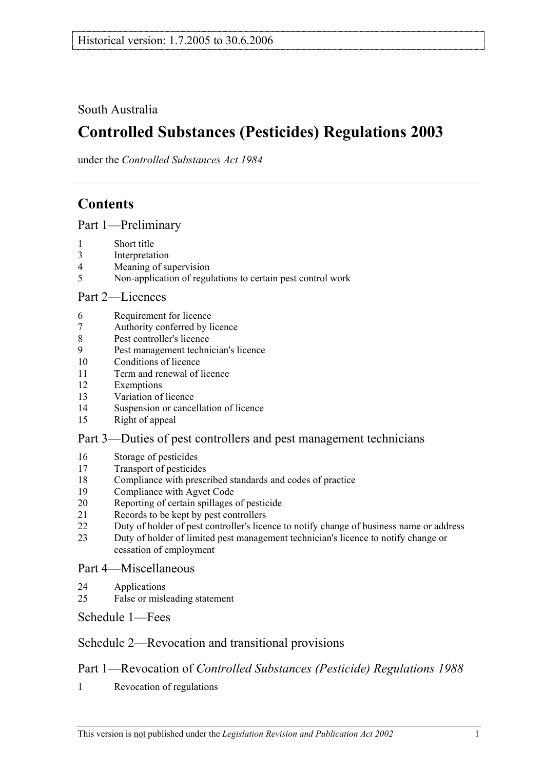South Australia

# **Controlled Substances (Pesticides) Regulations 2003**

under the *Controlled Substances Act 1984*

# **Contents**

Part 1—Preliminary

- 1 Short title
- 3 Interpretation
- 4 Meaning of supervision
- 5 Non-application of regulations to certain pest control work

#### Part 2—Licences

- 6 Requirement for licence
- 7 Authority conferred by licence
- 8 Pest controller's licence
- 9 Pest management technician's licence
- 10 Conditions of licence
- 11 Term and renewal of licence
- 12 Exemptions
- 13 Variation of licence
- 14 Suspension or cancellation of licence
- 15 Right of appeal

#### Part 3—Duties of pest controllers and pest management technicians

- 16 Storage of pesticides
- 17 Transport of pesticides
- 18 Compliance with prescribed standards and codes of practice
- 19 Compliance with Agvet Code
- 20 Reporting of certain spillages of pesticide
- 21 Records to be kept by pest controllers
- 22 Duty of holder of pest controller's licence to notify change of business name or address
- 23 Duty of holder of limited pest management technician's licence to notify change or cessation of employment

#### Part 4—Miscellaneous

- 24 Applications
- 25 False or misleading statement

Schedule 1—Fees

## Schedule 2—Revocation and transitional provisions

## Part 1—Revocation of *Controlled Substances (Pesticide) Regulations 1988*

1 Revocation of regulations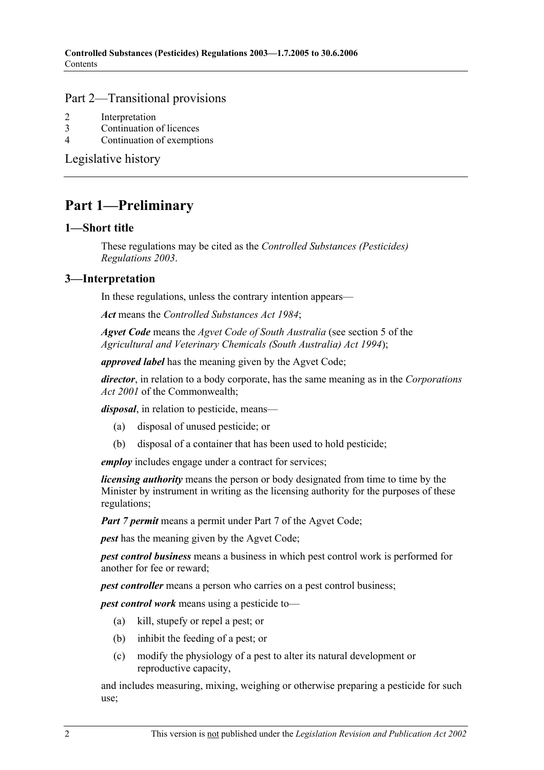#### Part 2—Transitional provisions

- 2 Interpretation
- 3 Continuation of licences
- 4 Continuation of exemptions

Legislative history

# **Part 1—Preliminary**

#### **1—Short title**

These regulations may be cited as the *Controlled Substances (Pesticides) Regulations 2003*.

#### **3—Interpretation**

In these regulations, unless the contrary intention appears—

*Act* means the *Controlled Substances Act 1984*;

*Agvet Code* means the *Agvet Code of South Australia* (see section 5 of the *Agricultural and Veterinary Chemicals (South Australia) Act 1994*);

*approved label* has the meaning given by the Agvet Code;

*director*, in relation to a body corporate, has the same meaning as in the *Corporations Act 2001* of the Commonwealth;

*disposal*, in relation to pesticide, means—

- (a) disposal of unused pesticide; or
- (b) disposal of a container that has been used to hold pesticide;

*employ* includes engage under a contract for services;

*licensing authority* means the person or body designated from time to time by the Minister by instrument in writing as the licensing authority for the purposes of these regulations;

*Part 7 permit* means a permit under Part 7 of the Agvet Code;

*pest* has the meaning given by the Agvet Code;

*pest control business* means a business in which pest control work is performed for another for fee or reward;

*pest controller* means a person who carries on a pest control business;

*pest control work* means using a pesticide to—

- (a) kill, stupefy or repel a pest; or
- (b) inhibit the feeding of a pest; or
- (c) modify the physiology of a pest to alter its natural development or reproductive capacity,

and includes measuring, mixing, weighing or otherwise preparing a pesticide for such use;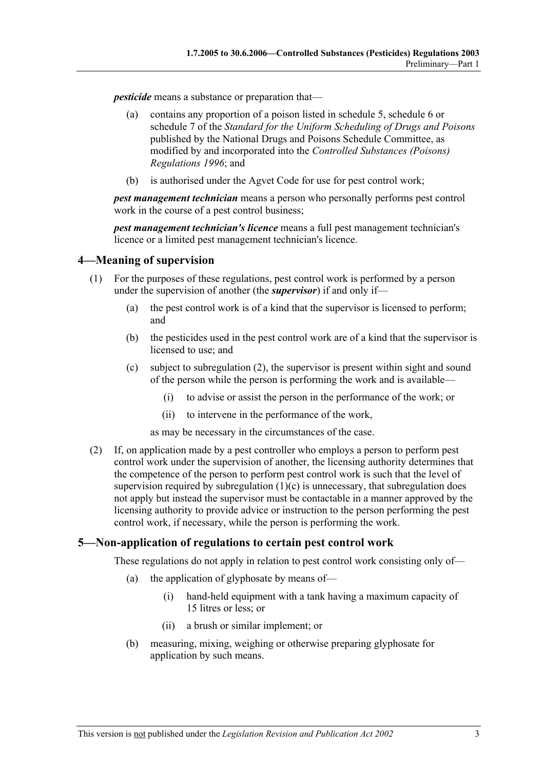*pesticide* means a substance or preparation that—

- (a) contains any proportion of a poison listed in schedule 5, schedule 6 or schedule 7 of the *Standard for the Uniform Scheduling of Drugs and Poisons* published by the National Drugs and Poisons Schedule Committee, as modified by and incorporated into the *Controlled Substances (Poisons) Regulations 1996*; and
- (b) is authorised under the Agvet Code for use for pest control work;

*pest management technician* means a person who personally performs pest control work in the course of a pest control business;

*pest management technician's licence* means a full pest management technician's licence or a limited pest management technician's licence.

#### **4—Meaning of supervision**

- (1) For the purposes of these regulations, pest control work is performed by a person under the supervision of another (the *supervisor*) if and only if—
	- (a) the pest control work is of a kind that the supervisor is licensed to perform; and
	- (b) the pesticides used in the pest control work are of a kind that the supervisor is licensed to use; and
	- (c) subject to subregulation (2), the supervisor is present within sight and sound of the person while the person is performing the work and is available—
		- (i) to advise or assist the person in the performance of the work; or
		- (ii) to intervene in the performance of the work,

as may be necessary in the circumstances of the case.

 (2) If, on application made by a pest controller who employs a person to perform pest control work under the supervision of another, the licensing authority determines that the competence of the person to perform pest control work is such that the level of supervision required by subregulation  $(1)(c)$  is unnecessary, that subregulation does not apply but instead the supervisor must be contactable in a manner approved by the licensing authority to provide advice or instruction to the person performing the pest control work, if necessary, while the person is performing the work.

#### **5—Non-application of regulations to certain pest control work**

These regulations do not apply in relation to pest control work consisting only of—

- (a) the application of glyphosate by means of—
	- (i) hand-held equipment with a tank having a maximum capacity of 15 litres or less; or
	- (ii) a brush or similar implement; or
- (b) measuring, mixing, weighing or otherwise preparing glyphosate for application by such means.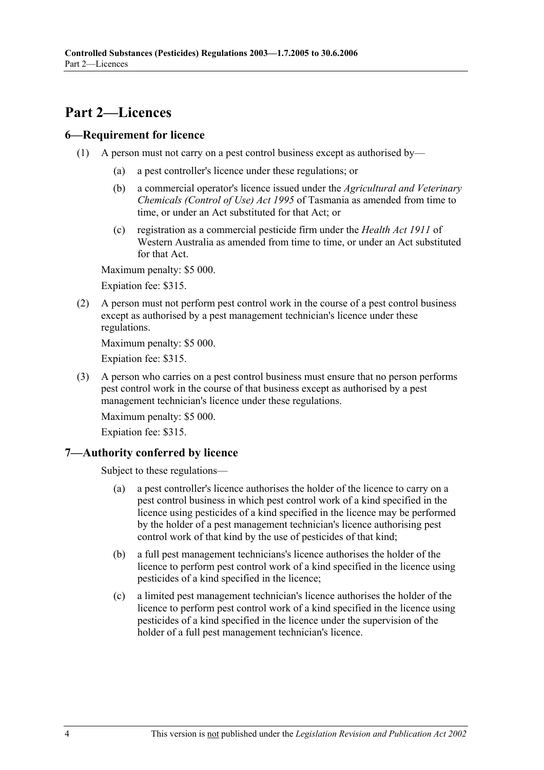# **Part 2—Licences**

#### **6—Requirement for licence**

- (1) A person must not carry on a pest control business except as authorised by—
	- (a) a pest controller's licence under these regulations; or
	- (b) a commercial operator's licence issued under the *Agricultural and Veterinary Chemicals (Control of Use) Act 1995* of Tasmania as amended from time to time, or under an Act substituted for that Act; or
	- (c) registration as a commercial pesticide firm under the *Health Act 1911* of Western Australia as amended from time to time, or under an Act substituted for that Act.

Maximum penalty: \$5 000.

Expiation fee: \$315.

 (2) A person must not perform pest control work in the course of a pest control business except as authorised by a pest management technician's licence under these regulations.

Maximum penalty: \$5 000.

Expiation fee: \$315.

 (3) A person who carries on a pest control business must ensure that no person performs pest control work in the course of that business except as authorised by a pest management technician's licence under these regulations.

Maximum penalty: \$5 000.

Expiation fee: \$315.

#### **7—Authority conferred by licence**

Subject to these regulations—

- (a) a pest controller's licence authorises the holder of the licence to carry on a pest control business in which pest control work of a kind specified in the licence using pesticides of a kind specified in the licence may be performed by the holder of a pest management technician's licence authorising pest control work of that kind by the use of pesticides of that kind;
- (b) a full pest management technicians's licence authorises the holder of the licence to perform pest control work of a kind specified in the licence using pesticides of a kind specified in the licence;
- (c) a limited pest management technician's licence authorises the holder of the licence to perform pest control work of a kind specified in the licence using pesticides of a kind specified in the licence under the supervision of the holder of a full pest management technician's licence.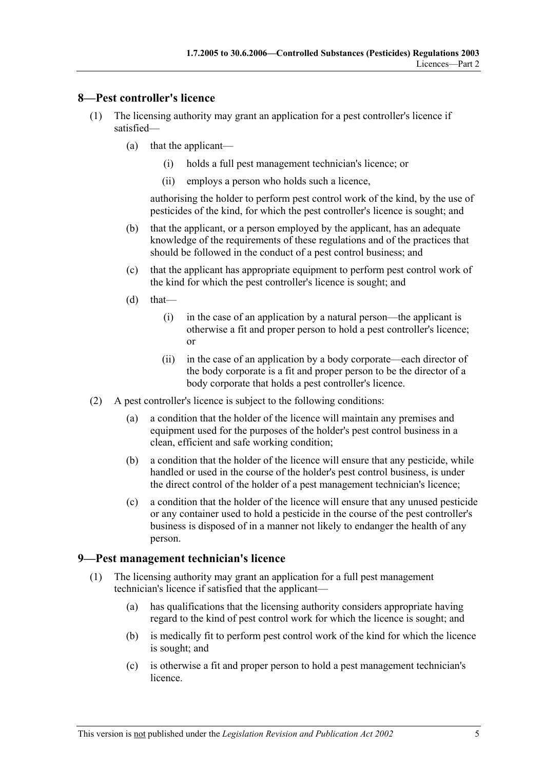#### **8—Pest controller's licence**

- (1) The licensing authority may grant an application for a pest controller's licence if satisfied—
	- (a) that the applicant—
		- (i) holds a full pest management technician's licence; or
		- (ii) employs a person who holds such a licence,

authorising the holder to perform pest control work of the kind, by the use of pesticides of the kind, for which the pest controller's licence is sought; and

- (b) that the applicant, or a person employed by the applicant, has an adequate knowledge of the requirements of these regulations and of the practices that should be followed in the conduct of a pest control business; and
- (c) that the applicant has appropriate equipment to perform pest control work of the kind for which the pest controller's licence is sought; and
- $(d)$  that—
	- (i) in the case of an application by a natural person—the applicant is otherwise a fit and proper person to hold a pest controller's licence; or
	- (ii) in the case of an application by a body corporate—each director of the body corporate is a fit and proper person to be the director of a body corporate that holds a pest controller's licence.
- (2) A pest controller's licence is subject to the following conditions:
	- (a) a condition that the holder of the licence will maintain any premises and equipment used for the purposes of the holder's pest control business in a clean, efficient and safe working condition;
	- (b) a condition that the holder of the licence will ensure that any pesticide, while handled or used in the course of the holder's pest control business, is under the direct control of the holder of a pest management technician's licence;
	- (c) a condition that the holder of the licence will ensure that any unused pesticide or any container used to hold a pesticide in the course of the pest controller's business is disposed of in a manner not likely to endanger the health of any person.

#### **9—Pest management technician's licence**

- (1) The licensing authority may grant an application for a full pest management technician's licence if satisfied that the applicant—
	- (a) has qualifications that the licensing authority considers appropriate having regard to the kind of pest control work for which the licence is sought; and
	- (b) is medically fit to perform pest control work of the kind for which the licence is sought; and
	- (c) is otherwise a fit and proper person to hold a pest management technician's licence.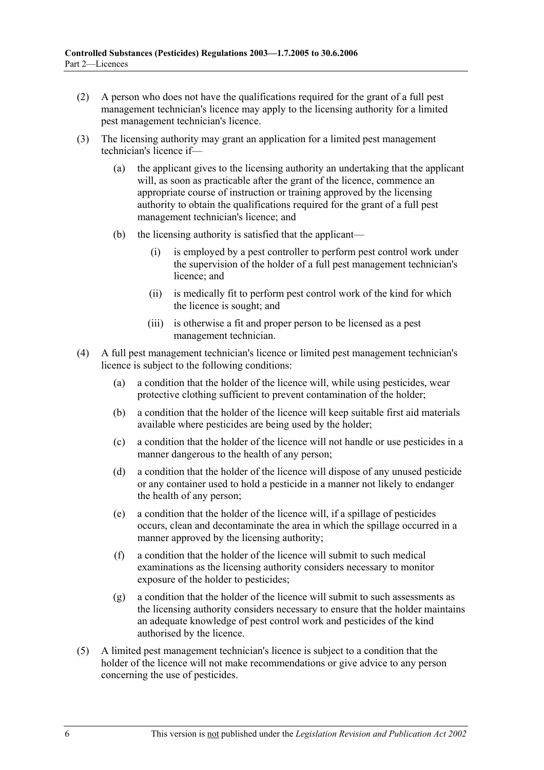- (2) A person who does not have the qualifications required for the grant of a full pest management technician's licence may apply to the licensing authority for a limited pest management technician's licence.
- (3) The licensing authority may grant an application for a limited pest management technician's licence if—
	- (a) the applicant gives to the licensing authority an undertaking that the applicant will, as soon as practicable after the grant of the licence, commence an appropriate course of instruction or training approved by the licensing authority to obtain the qualifications required for the grant of a full pest management technician's licence; and
	- (b) the licensing authority is satisfied that the applicant—
		- (i) is employed by a pest controller to perform pest control work under the supervision of the holder of a full pest management technician's licence; and
		- (ii) is medically fit to perform pest control work of the kind for which the licence is sought; and
		- (iii) is otherwise a fit and proper person to be licensed as a pest management technician.
- (4) A full pest management technician's licence or limited pest management technician's licence is subject to the following conditions:
	- (a) a condition that the holder of the licence will, while using pesticides, wear protective clothing sufficient to prevent contamination of the holder;
	- (b) a condition that the holder of the licence will keep suitable first aid materials available where pesticides are being used by the holder;
	- (c) a condition that the holder of the licence will not handle or use pesticides in a manner dangerous to the health of any person;
	- (d) a condition that the holder of the licence will dispose of any unused pesticide or any container used to hold a pesticide in a manner not likely to endanger the health of any person;
	- (e) a condition that the holder of the licence will, if a spillage of pesticides occurs, clean and decontaminate the area in which the spillage occurred in a manner approved by the licensing authority;
	- (f) a condition that the holder of the licence will submit to such medical examinations as the licensing authority considers necessary to monitor exposure of the holder to pesticides;
	- (g) a condition that the holder of the licence will submit to such assessments as the licensing authority considers necessary to ensure that the holder maintains an adequate knowledge of pest control work and pesticides of the kind authorised by the licence.
- (5) A limited pest management technician's licence is subject to a condition that the holder of the licence will not make recommendations or give advice to any person concerning the use of pesticides.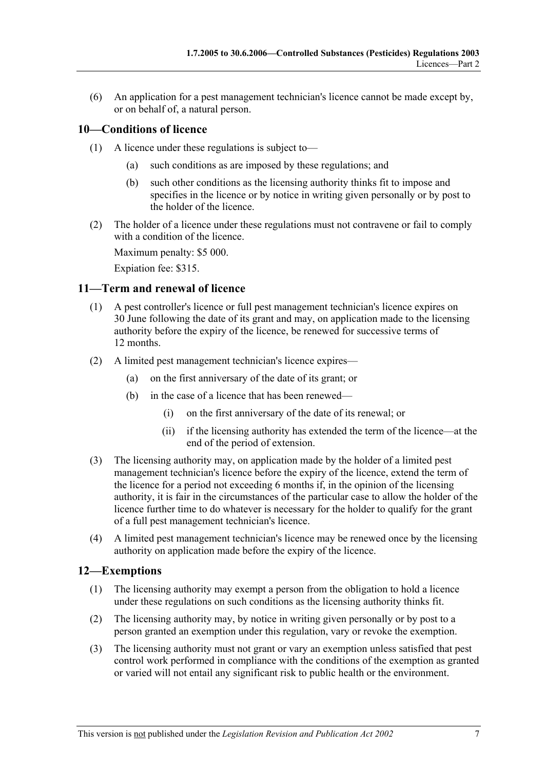(6) An application for a pest management technician's licence cannot be made except by, or on behalf of, a natural person.

#### **10—Conditions of licence**

- (1) A licence under these regulations is subject to—
	- (a) such conditions as are imposed by these regulations; and
	- (b) such other conditions as the licensing authority thinks fit to impose and specifies in the licence or by notice in writing given personally or by post to the holder of the licence.
- (2) The holder of a licence under these regulations must not contravene or fail to comply with a condition of the licence.

Maximum penalty: \$5 000.

Expiation fee: \$315.

#### **11—Term and renewal of licence**

- (1) A pest controller's licence or full pest management technician's licence expires on 30 June following the date of its grant and may, on application made to the licensing authority before the expiry of the licence, be renewed for successive terms of 12 months.
- (2) A limited pest management technician's licence expires—
	- (a) on the first anniversary of the date of its grant; or
	- (b) in the case of a licence that has been renewed—
		- (i) on the first anniversary of the date of its renewal; or
		- (ii) if the licensing authority has extended the term of the licence—at the end of the period of extension.
- (3) The licensing authority may, on application made by the holder of a limited pest management technician's licence before the expiry of the licence, extend the term of the licence for a period not exceeding 6 months if, in the opinion of the licensing authority, it is fair in the circumstances of the particular case to allow the holder of the licence further time to do whatever is necessary for the holder to qualify for the grant of a full pest management technician's licence.
- (4) A limited pest management technician's licence may be renewed once by the licensing authority on application made before the expiry of the licence.

#### **12—Exemptions**

- (1) The licensing authority may exempt a person from the obligation to hold a licence under these regulations on such conditions as the licensing authority thinks fit.
- (2) The licensing authority may, by notice in writing given personally or by post to a person granted an exemption under this regulation, vary or revoke the exemption.
- (3) The licensing authority must not grant or vary an exemption unless satisfied that pest control work performed in compliance with the conditions of the exemption as granted or varied will not entail any significant risk to public health or the environment.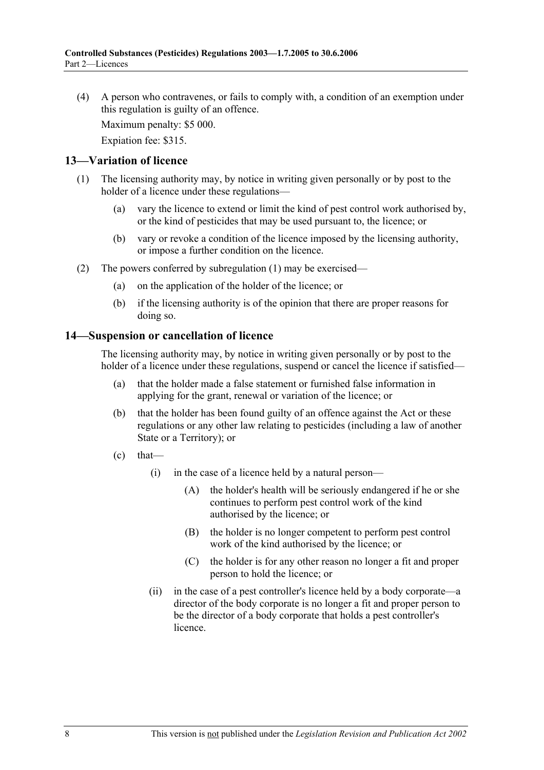(4) A person who contravenes, or fails to comply with, a condition of an exemption under this regulation is guilty of an offence.

Maximum penalty: \$5 000.

Expiation fee: \$315.

#### **13—Variation of licence**

- (1) The licensing authority may, by notice in writing given personally or by post to the holder of a licence under these regulations—
	- (a) vary the licence to extend or limit the kind of pest control work authorised by, or the kind of pesticides that may be used pursuant to, the licence; or
	- (b) vary or revoke a condition of the licence imposed by the licensing authority, or impose a further condition on the licence.
- (2) The powers conferred by subregulation (1) may be exercised—
	- (a) on the application of the holder of the licence; or
	- (b) if the licensing authority is of the opinion that there are proper reasons for doing so.

#### **14—Suspension or cancellation of licence**

The licensing authority may, by notice in writing given personally or by post to the holder of a licence under these regulations, suspend or cancel the licence if satisfied—

- (a) that the holder made a false statement or furnished false information in applying for the grant, renewal or variation of the licence; or
- (b) that the holder has been found guilty of an offence against the Act or these regulations or any other law relating to pesticides (including a law of another State or a Territory); or
- $\text{(c)}$  that—
	- (i) in the case of a licence held by a natural person—
		- (A) the holder's health will be seriously endangered if he or she continues to perform pest control work of the kind authorised by the licence; or
		- (B) the holder is no longer competent to perform pest control work of the kind authorised by the licence; or
		- (C) the holder is for any other reason no longer a fit and proper person to hold the licence; or
	- (ii) in the case of a pest controller's licence held by a body corporate—a director of the body corporate is no longer a fit and proper person to be the director of a body corporate that holds a pest controller's licence.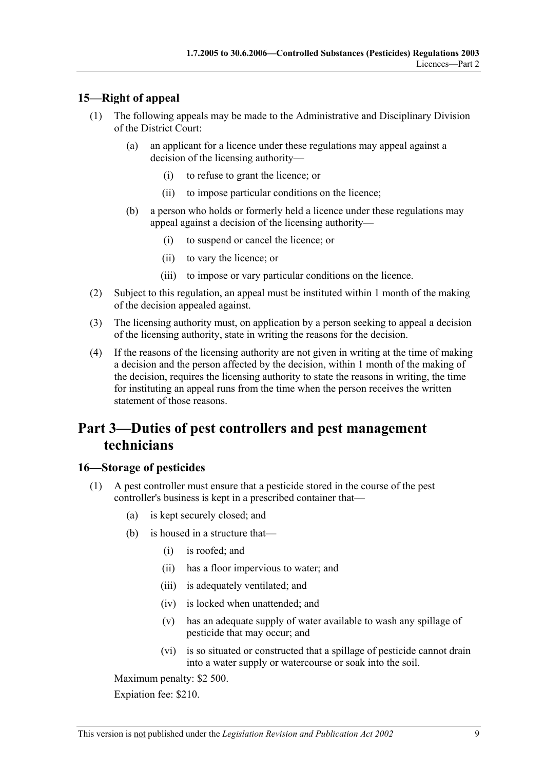### **15—Right of appeal**

- (1) The following appeals may be made to the Administrative and Disciplinary Division of the District Court:
	- (a) an applicant for a licence under these regulations may appeal against a decision of the licensing authority—
		- (i) to refuse to grant the licence; or
		- (ii) to impose particular conditions on the licence;
	- (b) a person who holds or formerly held a licence under these regulations may appeal against a decision of the licensing authority—
		- (i) to suspend or cancel the licence; or
		- (ii) to vary the licence; or
		- (iii) to impose or vary particular conditions on the licence.
- (2) Subject to this regulation, an appeal must be instituted within 1 month of the making of the decision appealed against.
- (3) The licensing authority must, on application by a person seeking to appeal a decision of the licensing authority, state in writing the reasons for the decision.
- (4) If the reasons of the licensing authority are not given in writing at the time of making a decision and the person affected by the decision, within 1 month of the making of the decision, requires the licensing authority to state the reasons in writing, the time for instituting an appeal runs from the time when the person receives the written statement of those reasons.

# **Part 3—Duties of pest controllers and pest management technicians**

#### **16—Storage of pesticides**

- (1) A pest controller must ensure that a pesticide stored in the course of the pest controller's business is kept in a prescribed container that—
	- (a) is kept securely closed; and
	- (b) is housed in a structure that—
		- (i) is roofed; and
		- (ii) has a floor impervious to water; and
		- (iii) is adequately ventilated; and
		- (iv) is locked when unattended; and
		- (v) has an adequate supply of water available to wash any spillage of pesticide that may occur; and
		- (vi) is so situated or constructed that a spillage of pesticide cannot drain into a water supply or watercourse or soak into the soil.

Maximum penalty: \$2 500.

Expiation fee: \$210.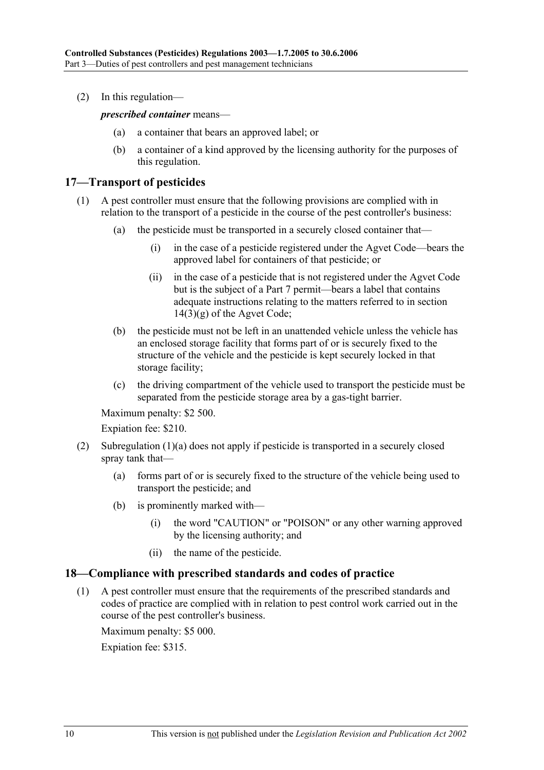(2) In this regulation—

*prescribed container* means—

- (a) a container that bears an approved label; or
- (b) a container of a kind approved by the licensing authority for the purposes of this regulation.

#### **17—Transport of pesticides**

- (1) A pest controller must ensure that the following provisions are complied with in relation to the transport of a pesticide in the course of the pest controller's business:
	- (a) the pesticide must be transported in a securely closed container that—
		- (i) in the case of a pesticide registered under the Agvet Code—bears the approved label for containers of that pesticide; or
		- (ii) in the case of a pesticide that is not registered under the Agvet Code but is the subject of a Part 7 permit—bears a label that contains adequate instructions relating to the matters referred to in section  $14(3)(g)$  of the Agvet Code;
	- (b) the pesticide must not be left in an unattended vehicle unless the vehicle has an enclosed storage facility that forms part of or is securely fixed to the structure of the vehicle and the pesticide is kept securely locked in that storage facility;
	- (c) the driving compartment of the vehicle used to transport the pesticide must be separated from the pesticide storage area by a gas-tight barrier.

Maximum penalty: \$2 500.

Expiation fee: \$210.

- (2) Subregulation (1)(a) does not apply if pesticide is transported in a securely closed spray tank that—
	- (a) forms part of or is securely fixed to the structure of the vehicle being used to transport the pesticide; and
	- (b) is prominently marked with—
		- (i) the word "CAUTION" or "POISON" or any other warning approved by the licensing authority; and
		- (ii) the name of the pesticide.

#### **18—Compliance with prescribed standards and codes of practice**

 (1) A pest controller must ensure that the requirements of the prescribed standards and codes of practice are complied with in relation to pest control work carried out in the course of the pest controller's business.

Maximum penalty: \$5 000.

Expiation fee: \$315.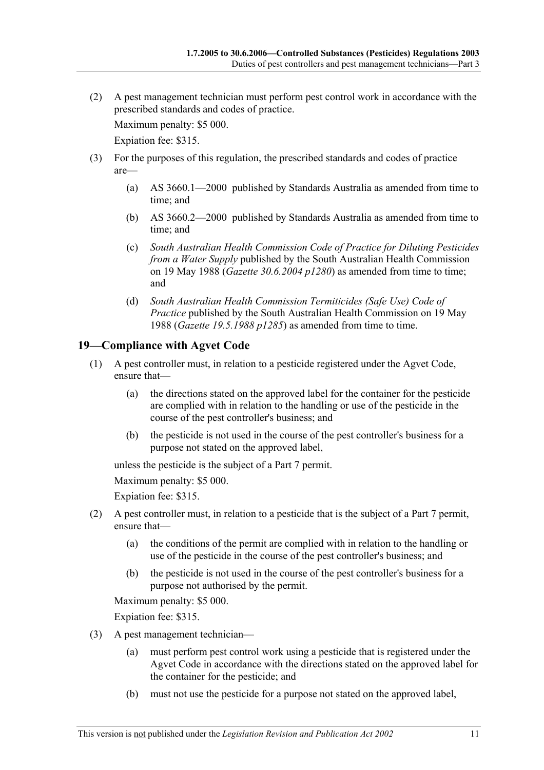(2) A pest management technician must perform pest control work in accordance with the prescribed standards and codes of practice.

Maximum penalty: \$5 000.

Expiation fee: \$315.

- (3) For the purposes of this regulation, the prescribed standards and codes of practice are—
	- (a) AS 3660.1—2000 published by Standards Australia as amended from time to time; and
	- (b) AS 3660.2—2000 published by Standards Australia as amended from time to time; and
	- (c) *South Australian Health Commission Code of Practice for Diluting Pesticides from a Water Supply* published by the South Australian Health Commission on 19 May 1988 (*Gazette 30.6.2004 p1280*) as amended from time to time; and
	- (d) *South Australian Health Commission Termiticides (Safe Use) Code of Practice* published by the South Australian Health Commission on 19 May 1988 (*Gazette 19.5.1988 p1285*) as amended from time to time.

#### **19—Compliance with Agvet Code**

- (1) A pest controller must, in relation to a pesticide registered under the Agvet Code, ensure that—
	- (a) the directions stated on the approved label for the container for the pesticide are complied with in relation to the handling or use of the pesticide in the course of the pest controller's business; and
	- (b) the pesticide is not used in the course of the pest controller's business for a purpose not stated on the approved label,

unless the pesticide is the subject of a Part 7 permit.

Maximum penalty: \$5 000.

Expiation fee: \$315.

- (2) A pest controller must, in relation to a pesticide that is the subject of a Part 7 permit, ensure that—
	- (a) the conditions of the permit are complied with in relation to the handling or use of the pesticide in the course of the pest controller's business; and
	- (b) the pesticide is not used in the course of the pest controller's business for a purpose not authorised by the permit.

Maximum penalty: \$5 000.

Expiation fee: \$315.

- (3) A pest management technician—
	- (a) must perform pest control work using a pesticide that is registered under the Agvet Code in accordance with the directions stated on the approved label for the container for the pesticide; and
	- (b) must not use the pesticide for a purpose not stated on the approved label,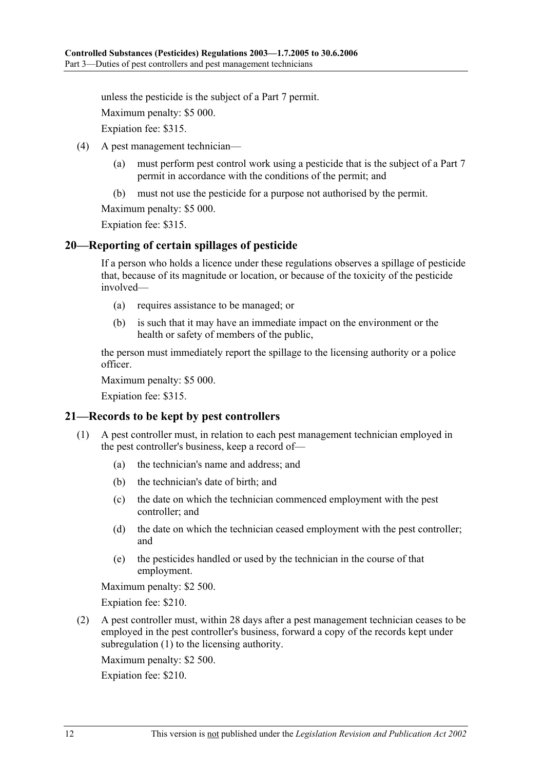unless the pesticide is the subject of a Part 7 permit.

Maximum penalty: \$5 000.

Expiation fee: \$315.

- (4) A pest management technician—
	- (a) must perform pest control work using a pesticide that is the subject of a Part 7 permit in accordance with the conditions of the permit; and
	- (b) must not use the pesticide for a purpose not authorised by the permit.

Maximum penalty: \$5 000.

Expiation fee: \$315.

#### **20—Reporting of certain spillages of pesticide**

If a person who holds a licence under these regulations observes a spillage of pesticide that, because of its magnitude or location, or because of the toxicity of the pesticide involved—

- (a) requires assistance to be managed; or
- (b) is such that it may have an immediate impact on the environment or the health or safety of members of the public,

the person must immediately report the spillage to the licensing authority or a police officer.

Maximum penalty: \$5 000.

Expiation fee: \$315.

#### **21—Records to be kept by pest controllers**

- (1) A pest controller must, in relation to each pest management technician employed in the pest controller's business, keep a record of—
	- (a) the technician's name and address; and
	- (b) the technician's date of birth; and
	- (c) the date on which the technician commenced employment with the pest controller; and
	- (d) the date on which the technician ceased employment with the pest controller; and
	- (e) the pesticides handled or used by the technician in the course of that employment.

Maximum penalty: \$2 500.

Expiation fee: \$210.

 (2) A pest controller must, within 28 days after a pest management technician ceases to be employed in the pest controller's business, forward a copy of the records kept under subregulation (1) to the licensing authority.

Maximum penalty: \$2 500.

Expiation fee: \$210.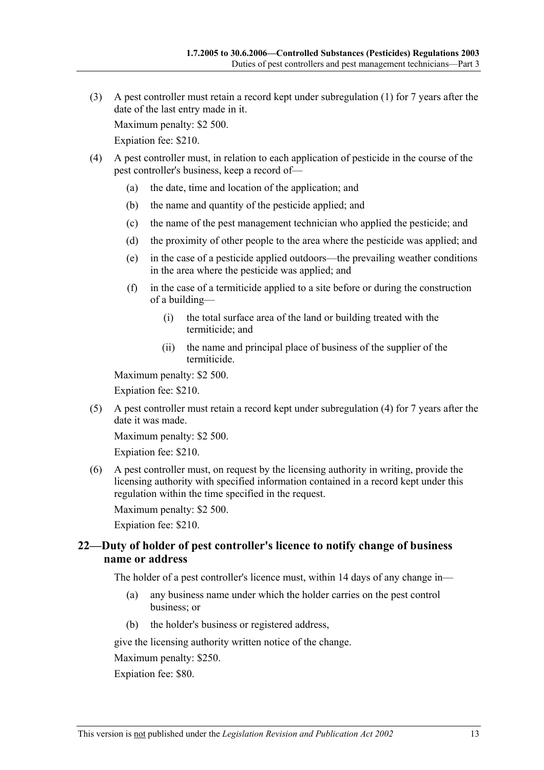(3) A pest controller must retain a record kept under subregulation (1) for 7 years after the date of the last entry made in it.

Maximum penalty: \$2 500.

Expiation fee: \$210.

- (4) A pest controller must, in relation to each application of pesticide in the course of the pest controller's business, keep a record of—
	- (a) the date, time and location of the application; and
	- (b) the name and quantity of the pesticide applied; and
	- (c) the name of the pest management technician who applied the pesticide; and
	- (d) the proximity of other people to the area where the pesticide was applied; and
	- (e) in the case of a pesticide applied outdoors—the prevailing weather conditions in the area where the pesticide was applied; and
	- (f) in the case of a termiticide applied to a site before or during the construction of a building—
		- (i) the total surface area of the land or building treated with the termiticide; and
		- (ii) the name and principal place of business of the supplier of the termiticide.

Maximum penalty: \$2 500.

Expiation fee: \$210.

 (5) A pest controller must retain a record kept under subregulation (4) for 7 years after the date it was made.

Maximum penalty: \$2 500.

Expiation fee: \$210.

 (6) A pest controller must, on request by the licensing authority in writing, provide the licensing authority with specified information contained in a record kept under this regulation within the time specified in the request.

Maximum penalty: \$2 500.

Expiation fee: \$210.

#### **22—Duty of holder of pest controller's licence to notify change of business name or address**

The holder of a pest controller's licence must, within 14 days of any change in—

- (a) any business name under which the holder carries on the pest control business; or
- (b) the holder's business or registered address,

give the licensing authority written notice of the change.

Maximum penalty: \$250.

Expiation fee: \$80.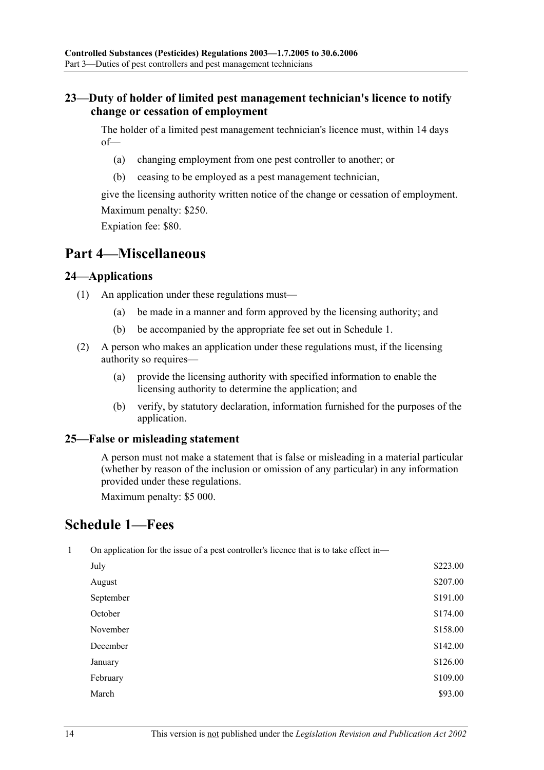#### **23—Duty of holder of limited pest management technician's licence to notify change or cessation of employment**

The holder of a limited pest management technician's licence must, within 14 days of—

- (a) changing employment from one pest controller to another; or
- (b) ceasing to be employed as a pest management technician,

give the licensing authority written notice of the change or cessation of employment. Maximum penalty: \$250.

Expiation fee: \$80.

## **Part 4—Miscellaneous**

#### **24—Applications**

- (1) An application under these regulations must—
	- (a) be made in a manner and form approved by the licensing authority; and
	- (b) be accompanied by the appropriate fee set out in Schedule 1.
- (2) A person who makes an application under these regulations must, if the licensing authority so requires—
	- (a) provide the licensing authority with specified information to enable the licensing authority to determine the application; and
	- (b) verify, by statutory declaration, information furnished for the purposes of the application.

#### **25—False or misleading statement**

A person must not make a statement that is false or misleading in a material particular (whether by reason of the inclusion or omission of any particular) in any information provided under these regulations.

Maximum penalty: \$5 000.

## **Schedule 1—Fees**

|  |  |  |  |  |  | On application for the issue of a pest controller's licence that is to take effect in- |
|--|--|--|--|--|--|----------------------------------------------------------------------------------------|
|--|--|--|--|--|--|----------------------------------------------------------------------------------------|

| July      | \$223.00 |
|-----------|----------|
| August    | \$207.00 |
| September | \$191.00 |
| October   | \$174.00 |
| November  | \$158.00 |
| December  | \$142.00 |
| January   | \$126.00 |
| February  | \$109.00 |
| March     | \$93.00  |
|           |          |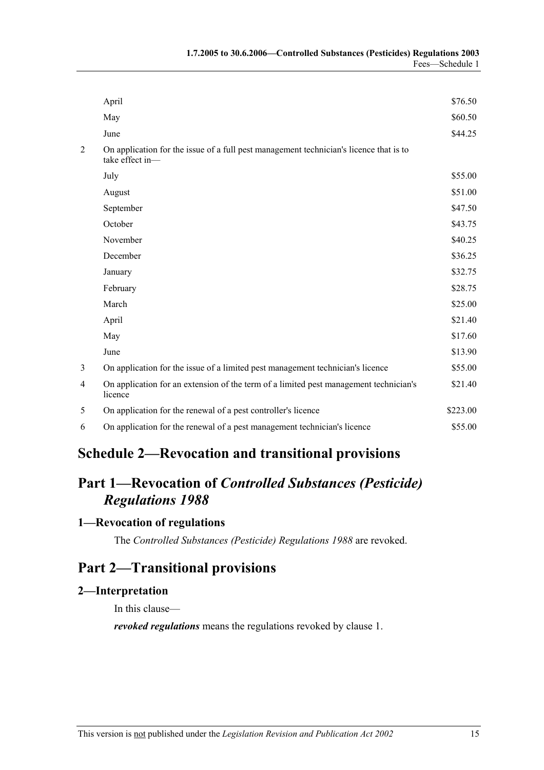|                | April                                                                                                     | \$76.50  |
|----------------|-----------------------------------------------------------------------------------------------------------|----------|
|                | May                                                                                                       | \$60.50  |
|                | June                                                                                                      | \$44.25  |
| $\overline{c}$ | On application for the issue of a full pest management technician's licence that is to<br>take effect in- |          |
|                | July                                                                                                      | \$55.00  |
|                | August                                                                                                    | \$51.00  |
|                | September                                                                                                 | \$47.50  |
|                | October                                                                                                   | \$43.75  |
|                | November                                                                                                  | \$40.25  |
|                | December                                                                                                  | \$36.25  |
|                | January                                                                                                   | \$32.75  |
|                | February                                                                                                  | \$28.75  |
|                | March                                                                                                     | \$25.00  |
|                | April                                                                                                     | \$21.40  |
|                | May                                                                                                       | \$17.60  |
|                | June                                                                                                      | \$13.90  |
| 3              | On application for the issue of a limited pest management technician's licence                            | \$55.00  |
| 4              | On application for an extension of the term of a limited pest management technician's<br>licence          | \$21.40  |
| 5              | On application for the renewal of a pest controller's licence                                             | \$223.00 |
| 6              | On application for the renewal of a pest management technician's licence                                  | \$55.00  |

# **Schedule 2—Revocation and transitional provisions**

# **Part 1—Revocation of** *Controlled Substances (Pesticide) Regulations 1988*

#### **1—Revocation of regulations**

The *Controlled Substances (Pesticide) Regulations 1988* are revoked.

## **Part 2—Transitional provisions**

#### **2—Interpretation**

In this clause—

*revoked regulations* means the regulations revoked by clause 1.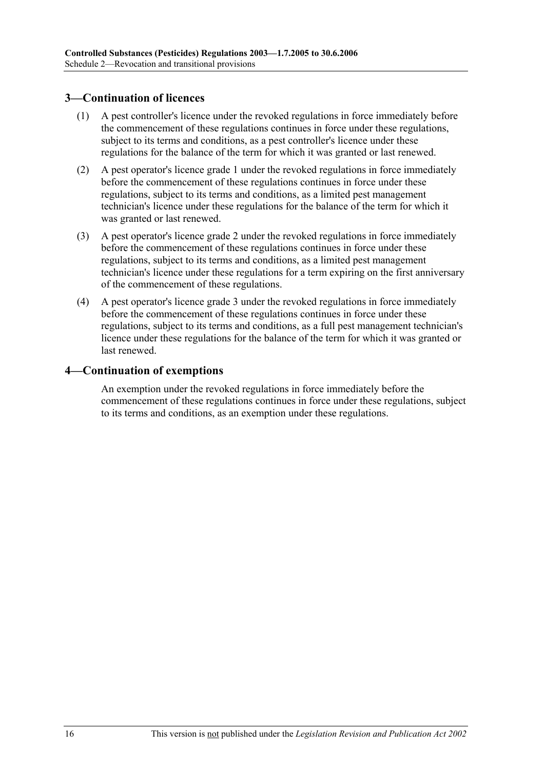#### **3—Continuation of licences**

- (1) A pest controller's licence under the revoked regulations in force immediately before the commencement of these regulations continues in force under these regulations, subject to its terms and conditions, as a pest controller's licence under these regulations for the balance of the term for which it was granted or last renewed.
- (2) A pest operator's licence grade 1 under the revoked regulations in force immediately before the commencement of these regulations continues in force under these regulations, subject to its terms and conditions, as a limited pest management technician's licence under these regulations for the balance of the term for which it was granted or last renewed.
- (3) A pest operator's licence grade 2 under the revoked regulations in force immediately before the commencement of these regulations continues in force under these regulations, subject to its terms and conditions, as a limited pest management technician's licence under these regulations for a term expiring on the first anniversary of the commencement of these regulations.
- (4) A pest operator's licence grade 3 under the revoked regulations in force immediately before the commencement of these regulations continues in force under these regulations, subject to its terms and conditions, as a full pest management technician's licence under these regulations for the balance of the term for which it was granted or last renewed.

#### **4—Continuation of exemptions**

An exemption under the revoked regulations in force immediately before the commencement of these regulations continues in force under these regulations, subject to its terms and conditions, as an exemption under these regulations.